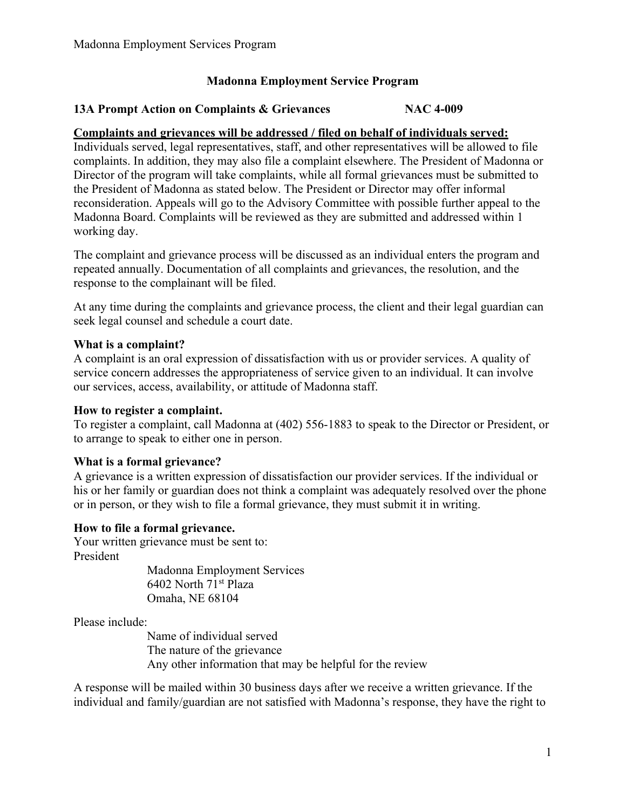# **Madonna Employment Service Program**

# **13A Prompt Action on Complaints & Grievances NAC 4-009**

## **Complaints and grievances will be addressed / filed on behalf of individuals served:**

Individuals served, legal representatives, staff, and other representatives will be allowed to file complaints. In addition, they may also file a complaint elsewhere. The President of Madonna or Director of the program will take complaints, while all formal grievances must be submitted to the President of Madonna as stated below. The President or Director may offer informal reconsideration. Appeals will go to the Advisory Committee with possible further appeal to the Madonna Board. Complaints will be reviewed as they are submitted and addressed within 1 working day.

The complaint and grievance process will be discussed as an individual enters the program and repeated annually. Documentation of all complaints and grievances, the resolution, and the response to the complainant will be filed.

At any time during the complaints and grievance process, the client and their legal guardian can seek legal counsel and schedule a court date.

### **What is a complaint?**

A complaint is an oral expression of dissatisfaction with us or provider services. A quality of service concern addresses the appropriateness of service given to an individual. It can involve our services, access, availability, or attitude of Madonna staff.

#### **How to register a complaint.**

To register a complaint, call Madonna at (402) 556-1883 to speak to the Director or President, or to arrange to speak to either one in person.

## **What is a formal grievance?**

A grievance is a written expression of dissatisfaction our provider services. If the individual or his or her family or guardian does not think a complaint was adequately resolved over the phone or in person, or they wish to file a formal grievance, they must submit it in writing.

#### **How to file a formal grievance.**

Your written grievance must be sent to: President

Madonna Employment Services 6402 North 71st Plaza Omaha, NE 68104

Please include:

 Name of individual served The nature of the grievance Any other information that may be helpful for the review

A response will be mailed within 30 business days after we receive a written grievance. If the individual and family/guardian are not satisfied with Madonna's response, they have the right to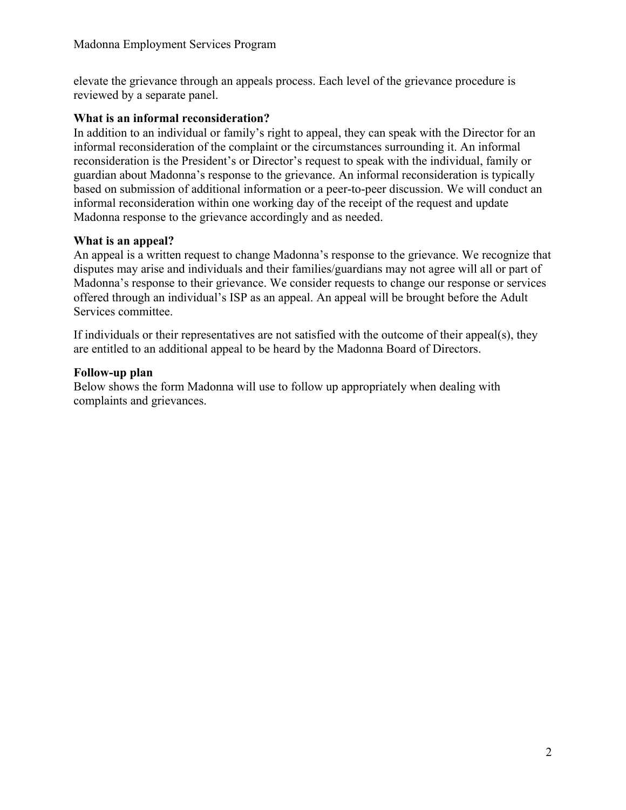elevate the grievance through an appeals process. Each level of the grievance procedure is reviewed by a separate panel.

## **What is an informal reconsideration?**

In addition to an individual or family's right to appeal, they can speak with the Director for an informal reconsideration of the complaint or the circumstances surrounding it. An informal reconsideration is the President's or Director's request to speak with the individual, family or guardian about Madonna's response to the grievance. An informal reconsideration is typically based on submission of additional information or a peer-to-peer discussion. We will conduct an informal reconsideration within one working day of the receipt of the request and update Madonna response to the grievance accordingly and as needed.

# **What is an appeal?**

An appeal is a written request to change Madonna's response to the grievance. We recognize that disputes may arise and individuals and their families/guardians may not agree will all or part of Madonna's response to their grievance. We consider requests to change our response or services offered through an individual's ISP as an appeal. An appeal will be brought before the Adult Services committee.

If individuals or their representatives are not satisfied with the outcome of their appeal(s), they are entitled to an additional appeal to be heard by the Madonna Board of Directors.

# **Follow-up plan**

Below shows the form Madonna will use to follow up appropriately when dealing with complaints and grievances.